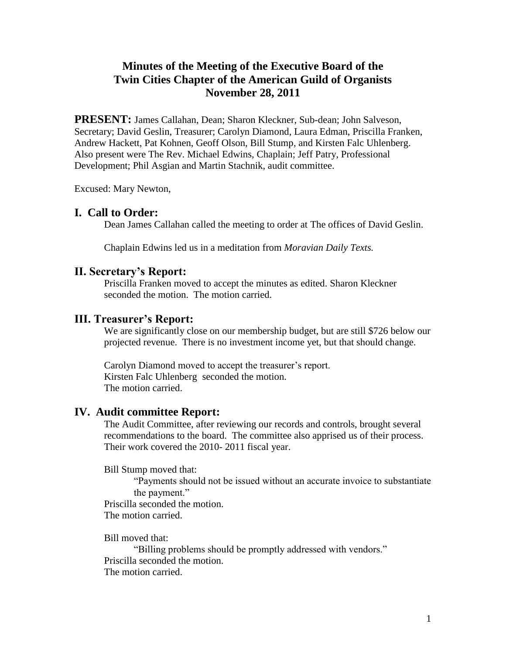# **Minutes of the Meeting of the Executive Board of the Twin Cities Chapter of the American Guild of Organists November 28, 2011**

**PRESENT:** James Callahan, Dean; Sharon Kleckner, Sub-dean; John Salveson, Secretary; David Geslin, Treasurer; Carolyn Diamond, Laura Edman, Priscilla Franken, Andrew Hackett, Pat Kohnen, Geoff Olson, Bill Stump, and Kirsten Falc Uhlenberg. Also present were The Rev. Michael Edwins, Chaplain; Jeff Patry, Professional Development; Phil Asgian and Martin Stachnik, audit committee.

Excused: Mary Newton,

## **I. Call to Order:**

Dean James Callahan called the meeting to order at The offices of David Geslin.

Chaplain Edwins led us in a meditation from *Moravian Daily Texts.*

### **II. Secretary's Report:**

Priscilla Franken moved to accept the minutes as edited. Sharon Kleckner seconded the motion. The motion carried.

### **III. Treasurer's Report:**

We are significantly close on our membership budget, but are still \$726 below our projected revenue. There is no investment income yet, but that should change.

Carolyn Diamond moved to accept the treasurer's report. Kirsten Falc Uhlenberg seconded the motion. The motion carried.

### **IV. Audit committee Report:**

The Audit Committee, after reviewing our records and controls, brought several recommendations to the board. The committee also apprised us of their process. Their work covered the 2010- 2011 fiscal year.

Bill Stump moved that:

"Payments should not be issued without an accurate invoice to substantiate the payment."

Priscilla seconded the motion. The motion carried.

Bill moved that:

"Billing problems should be promptly addressed with vendors." Priscilla seconded the motion. The motion carried.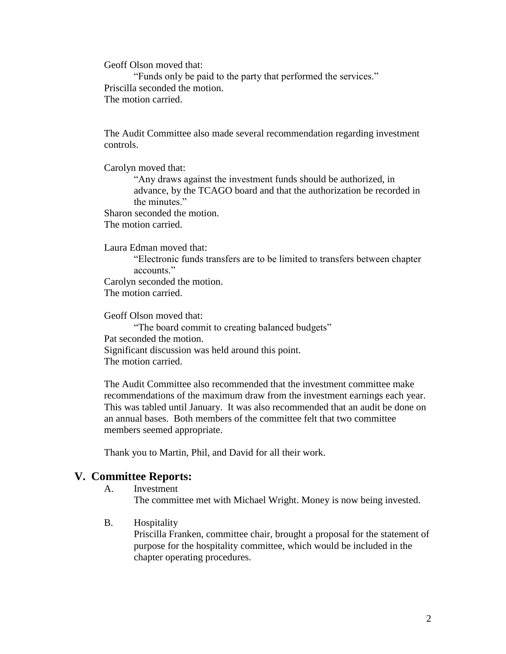Geoff Olson moved that:

"Funds only be paid to the party that performed the services." Priscilla seconded the motion. The motion carried.

The Audit Committee also made several recommendation regarding investment controls.

Carolyn moved that:

"Any draws against the investment funds should be authorized, in advance, by the TCAGO board and that the authorization be recorded in the minutes."

Sharon seconded the motion. The motion carried.

Laura Edman moved that:

"Electronic funds transfers are to be limited to transfers between chapter accounts." Carolyn seconded the motion.

The motion carried.

Geoff Olson moved that: "The board commit to creating balanced budgets" Pat seconded the motion. Significant discussion was held around this point. The motion carried.

The Audit Committee also recommended that the investment committee make recommendations of the maximum draw from the investment earnings each year. This was tabled until January. It was also recommended that an audit be done on an annual bases. Both members of the committee felt that two committee members seemed appropriate.

Thank you to Martin, Phil, and David for all their work.

### **V. Committee Reports:**

A. Investment

The committee met with Michael Wright. Money is now being invested.

B. Hospitality

Priscilla Franken, committee chair, brought a proposal for the statement of purpose for the hospitality committee, which would be included in the chapter operating procedures.